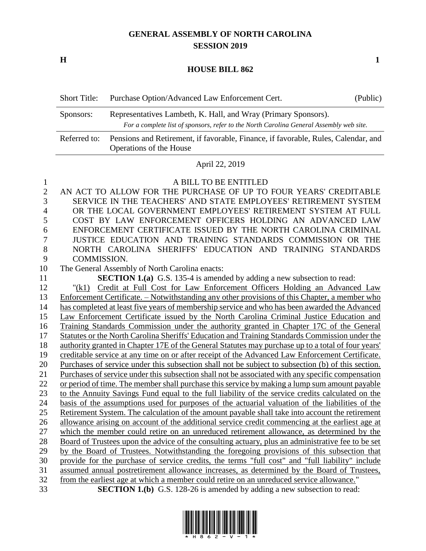## **GENERAL ASSEMBLY OF NORTH CAROLINA SESSION 2019**

**H 1**

## **HOUSE BILL 862**

| <b>Short Title:</b> | Purchase Option/Advanced Law Enforcement Cert.                                                                                                            | (Public) |
|---------------------|-----------------------------------------------------------------------------------------------------------------------------------------------------------|----------|
| Sponsors:           | Representatives Lambeth, K. Hall, and Wray (Primary Sponsors).<br>For a complete list of sponsors, refer to the North Carolina General Assembly web site. |          |
| Referred to:        | Pensions and Retirement, if favorable, Finance, if favorable, Rules, Calendar, and<br>Operations of the House                                             |          |

## April 22, 2019

| $\mathbf{1}$   | A BILL TO BE ENTITLED                                                                              |
|----------------|----------------------------------------------------------------------------------------------------|
| $\overline{2}$ | AN ACT TO ALLOW FOR THE PURCHASE OF UP TO FOUR YEARS' CREDITABLE                                   |
| 3              | SERVICE IN THE TEACHERS' AND STATE EMPLOYEES' RETIREMENT SYSTEM                                    |
| $\overline{4}$ | OR THE LOCAL GOVERNMENT EMPLOYEES' RETIREMENT SYSTEM AT FULL                                       |
| 5              | COST BY LAW ENFORCEMENT OFFICERS HOLDING AN ADVANCED LAW                                           |
| 6              | ENFORCEMENT CERTIFICATE ISSUED BY THE NORTH CAROLINA CRIMINAL                                      |
| 7              | JUSTICE EDUCATION AND TRAINING STANDARDS COMMISSION OR THE                                         |
| 8              | NORTH CAROLINA SHERIFFS' EDUCATION AND TRAINING STANDARDS                                          |
| 9              | COMMISSION.                                                                                        |
| 10             | The General Assembly of North Carolina enacts:                                                     |
| 11             | <b>SECTION 1.(a)</b> G.S. 135-4 is amended by adding a new subsection to read:                     |
| 12             | Credit at Full Cost for Law Enforcement Officers Holding an Advanced Law<br>"(k1)                  |
| 13             | Enforcement Certificate. – Notwithstanding any other provisions of this Chapter, a member who      |
| 14             | has completed at least five years of membership service and who has been awarded the Advanced      |
| 15             | Law Enforcement Certificate issued by the North Carolina Criminal Justice Education and            |
| 16             | Training Standards Commission under the authority granted in Chapter 17C of the General            |
| 17             | Statutes or the North Carolina Sheriffs' Education and Training Standards Commission under the     |
| 18             | authority granted in Chapter 17E of the General Statutes may purchase up to a total of four years' |
| 19             | creditable service at any time on or after receipt of the Advanced Law Enforcement Certificate.    |
| 20             | Purchases of service under this subsection shall not be subject to subsection (b) of this section. |
| 21             | Purchases of service under this subsection shall not be associated with any specific compensation  |
| 22             | or period of time. The member shall purchase this service by making a lump sum amount payable      |
| 23             | to the Annuity Savings Fund equal to the full liability of the service credits calculated on the   |
| 24             | basis of the assumptions used for purposes of the actuarial valuation of the liabilities of the    |
| 25             | Retirement System. The calculation of the amount payable shall take into account the retirement    |
| 26             | allowance arising on account of the additional service credit commencing at the earliest age at    |
| 27             | which the member could retire on an unreduced retirement allowance, as determined by the           |
| 28             | Board of Trustees upon the advice of the consulting actuary, plus an administrative fee to be set  |
| 29             | by the Board of Trustees. Notwithstanding the foregoing provisions of this subsection that         |
| 30             | provide for the purchase of service credits, the terms "full cost" and "full liability" include    |
| 31             | assumed annual postretirement allowance increases, as determined by the Board of Trustees,         |
| 32             | from the earliest age at which a member could retire on an unreduced service allowance."           |
| 33             | <b>SECTION 1.(b)</b> G.S. 128-26 is amended by adding a new subsection to read:                    |
|                |                                                                                                    |